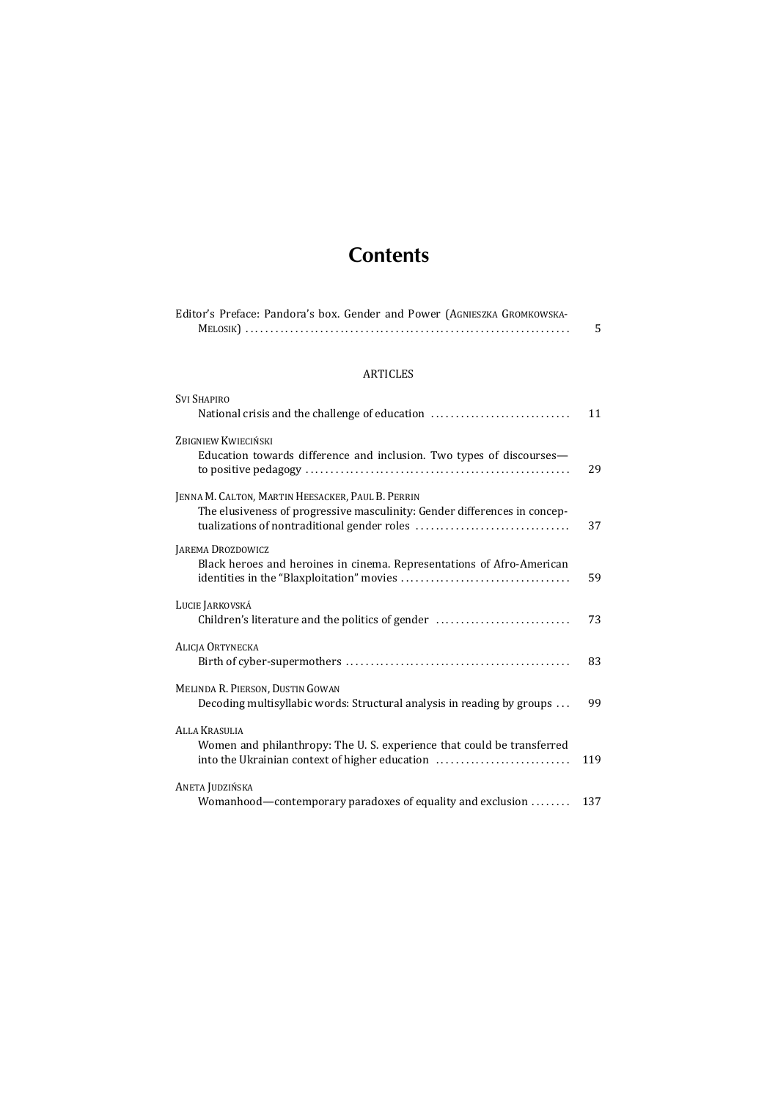## **Contents**

| Editor's Preface: Pandora's box. Gender and Power (AGNIESZKA GROMKOWSKA- |  |
|--------------------------------------------------------------------------|--|
|                                                                          |  |

## ARTICLES

| <b>SVI SHAPIRO</b><br>National crisis and the challenge of education                                                                            | 11  |
|-------------------------------------------------------------------------------------------------------------------------------------------------|-----|
| ZBIGNIEW KWIECIŃSKI<br>Education towards difference and inclusion. Two types of discourses-                                                     | 29  |
| JENNA M. CALTON, MARTIN HEESACKER, PAUL B. PERRIN<br>The elusiveness of progressive masculinity: Gender differences in concep-                  | 37  |
| JAREMA DROZDOWICZ<br>Black heroes and heroines in cinema. Representations of Afro-American                                                      | 59  |
| LUCIE JARKOVSKÁ<br>Children's literature and the politics of gender                                                                             | 73  |
| <b>ALICIA ORTYNECKA</b>                                                                                                                         | 83  |
| MELINDA R. PIERSON, DUSTIN GOWAN<br>Decoding multisyllabic words: Structural analysis in reading by groups                                      | 99  |
| <b>ALLA KRASULIA</b><br>Women and philanthropy: The U.S. experience that could be transferred<br>into the Ukrainian context of higher education | 119 |
| ANETA JUDZIŃSKA<br>Womanhood—contemporary paradoxes of equality and exclusion                                                                   | 137 |